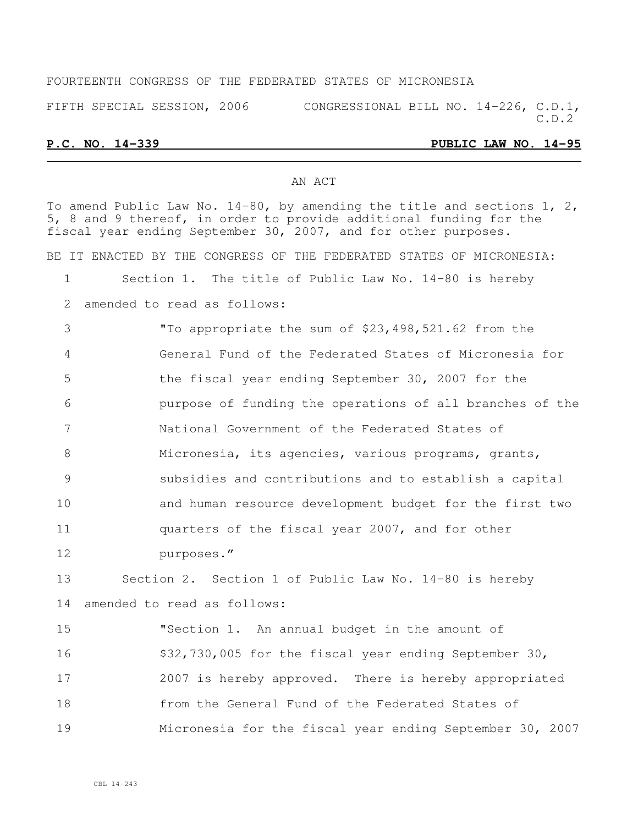#### FOURTEENTH CONGRESS OF THE FEDERATED STATES OF MICRONESIA

FIFTH SPECIAL SESSION, 2006 CONGRESSIONAL BILL NO. 14-226, C.D.1, C.D.2

#### **P.C. NO. 14-339 PUBLIC LAW NO. 14-95**

#### AN ACT

To amend Public Law No.  $14-80$ , by amending the title and sections 1, 2, 5, 8 and 9 thereof, in order to provide additional funding for the fiscal year ending September 30, 2007, and for other purposes. BE IT ENACTED BY THE CONGRESS OF THE FEDERATED STATES OF MICRONESIA: Section 1. The title of Public Law No. 14-80 is hereby amended to read as follows: "To appropriate the sum of \$23,498,521.62 from the General Fund of the Federated States of Micronesia for the fiscal year ending September 30, 2007 for the purpose of funding the operations of all branches of the National Government of the Federated States of Micronesia, its agencies, various programs, grants, subsidies and contributions and to establish a capital and human resource development budget for the first two quarters of the fiscal year 2007, and for other purposes." Section 2. Section 1 of Public Law No. 14-80 is hereby amended to read as follows: "Section 1. An annual budget in the amount of 16 \$32,730,005 for the fiscal year ending September 30, 2007 is hereby approved. There is hereby appropriated from the General Fund of the Federated States of Micronesia for the fiscal year ending September 30, 2007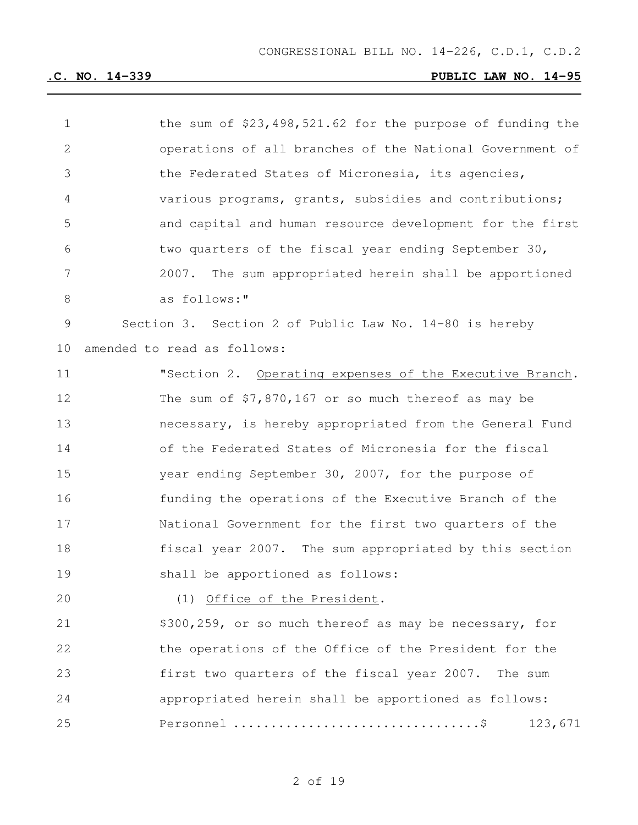| $\mathbf 1$ | the sum of $$23,498,521.62$ for the purpose of funding the |
|-------------|------------------------------------------------------------|
| 2           | operations of all branches of the National Government of   |
| 3           | the Federated States of Micronesia, its agencies,          |
| 4           | various programs, grants, subsidies and contributions;     |
| 5           | and capital and human resource development for the first   |
| 6           | two quarters of the fiscal year ending September 30,       |
| 7           | 2007. The sum appropriated herein shall be apportioned     |
| 8           | as follows:"                                               |
| 9           | Section 3. Section 2 of Public Law No. 14-80 is hereby     |
| 10          | amended to read as follows:                                |
| 11          | "Section 2. Operating expenses of the Executive Branch.    |
| 12          | The sum of $$7,870,167$ or so much thereof as may be       |
| 13          | necessary, is hereby appropriated from the General Fund    |
| 14          | of the Federated States of Micronesia for the fiscal       |
| 15          | year ending September 30, 2007, for the purpose of         |
| 16          | funding the operations of the Executive Branch of the      |
| 17          | National Government for the first two quarters of the      |
| 18          | fiscal year 2007. The sum appropriated by this section     |
| 19          | shall be apportioned as follows:                           |
| 20          | (1) Office of the President.                               |
| 21          | \$300,259, or so much thereof as may be necessary, for     |
| 22          | the operations of the Office of the President for the      |
| 23          | first two quarters of the fiscal year 2007. The sum        |
| 24          | appropriated herein shall be apportioned as follows:       |
| 25          | 123,671                                                    |
|             |                                                            |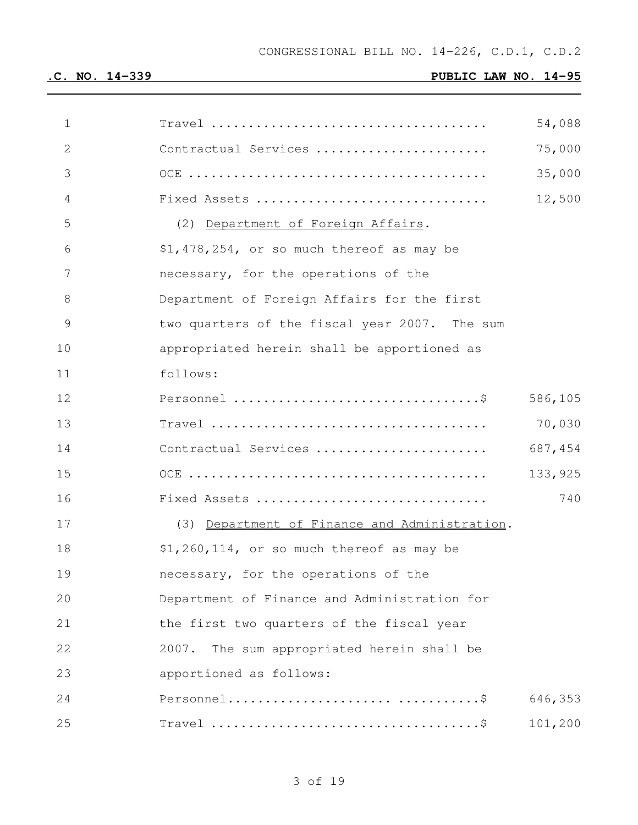| 1              |                                                                                        | 54,088  |
|----------------|----------------------------------------------------------------------------------------|---------|
| $\mathbf{2}$   | Contractual Services                                                                   | 75,000  |
| 3              |                                                                                        | 35,000  |
| $\overline{4}$ | Fixed Assets                                                                           | 12,500  |
| 5              | (2) Department of Foreign Affairs.                                                     |         |
| 6              | \$1,478,254, or so much thereof as may be                                              |         |
| 7              | necessary, for the operations of the                                                   |         |
| 8              | Department of Foreign Affairs for the first                                            |         |
| $\mathcal{G}$  | two quarters of the fiscal year 2007. The sum                                          |         |
| 10             | appropriated herein shall be apportioned as                                            |         |
| 11             | follows:                                                                               |         |
| 12             |                                                                                        | 586,105 |
| 13             | $Travel \dots \dots \dots \dots \dots \dots \dots \dots \dots \dots \dots \dots \dots$ | 70,030  |
| 14             | Contractual Services                                                                   | 687,454 |
| 15             |                                                                                        | 133,925 |
| 16             | Fixed Assets                                                                           | 740     |
| 17             | (3) Department of Finance and Administration.                                          |         |
| 18             | $$1,260,114$ , or so much thereof as may be                                            |         |
| 19             | necessary, for the operations of the                                                   |         |
| 20             | Department of Finance and Administration for                                           |         |
| 21             | the first two quarters of the fiscal year                                              |         |
| 22             | 2007.<br>The sum appropriated herein shall be                                          |         |
| 23             | apportioned as follows:                                                                |         |
| 24             |                                                                                        | 646,353 |
| 25             | Travel $\dots\dots\dots\dots\dots\dots\dots\dots\dots\dots\dots\dots$                  | 101,200 |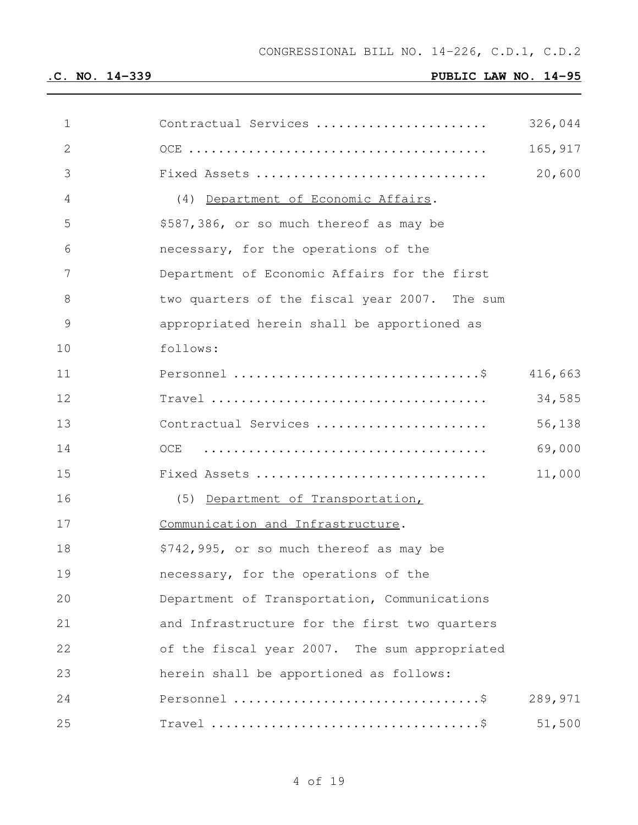| $\mathbf 1$   | Contractual Services                                                             | 326,044 |
|---------------|----------------------------------------------------------------------------------|---------|
| $\mathbf{2}$  |                                                                                  | 165,917 |
| 3             | Fixed Assets                                                                     | 20,600  |
| 4             | (4) Department of Economic Affairs.                                              |         |
| 5             | \$587,386, or so much thereof as may be                                          |         |
| 6             | necessary, for the operations of the                                             |         |
| 7             | Department of Economic Affairs for the first                                     |         |
| 8             | two quarters of the fiscal year 2007. The sum                                    |         |
| $\mathcal{G}$ | appropriated herein shall be apportioned as                                      |         |
| 10            | follows:                                                                         |         |
| 11            |                                                                                  | 416,663 |
| 12            | $Travel \dots \dots \dots \dots \dots \dots \dots \dots \dots \dots \dots \dots$ | 34,585  |
| 13            | Contractual Services                                                             | 56,138  |
| 14            | OCE                                                                              | 69,000  |
| 15            | Fixed Assets                                                                     | 11,000  |
| 16            | (5) Department of Transportation,                                                |         |
| 17            | Communication and Infrastructure.                                                |         |
| 18            | \$742,995, or so much thereof as may be                                          |         |
| 19            | necessary, for the operations of the                                             |         |
| 20            | Department of Transportation, Communications                                     |         |
| 21            | and Infrastructure for the first two quarters                                    |         |
| 22            | of the fiscal year 2007. The sum appropriated                                    |         |
| 23            | herein shall be apportioned as follows:                                          |         |
| 24            |                                                                                  | 289,971 |
| 25            |                                                                                  | 51,500  |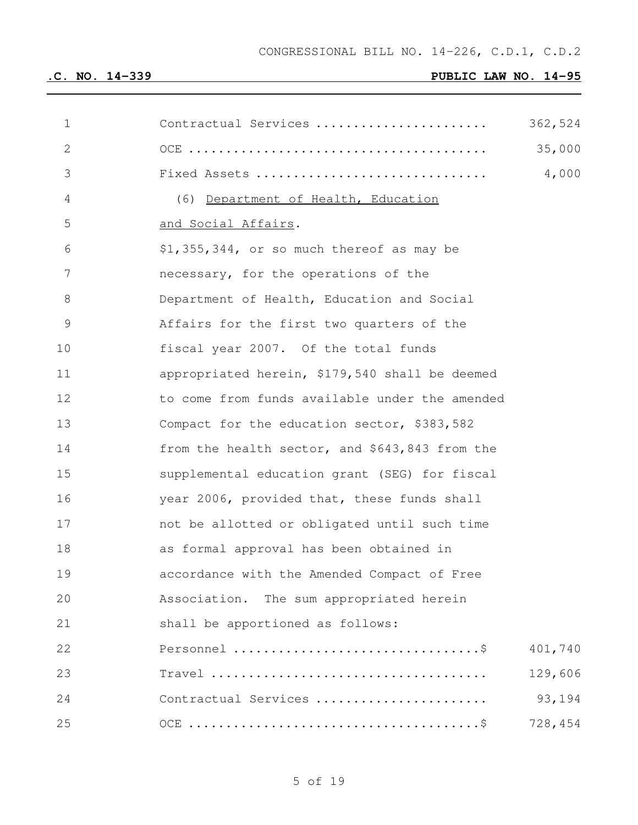| $\mathbf 1$  | Contractual Services                           | 362,524 |
|--------------|------------------------------------------------|---------|
| $\mathbf{2}$ |                                                | 35,000  |
| 3            | Fixed Assets                                   | 4,000   |
| 4            | (6) Department of Health, Education            |         |
| 5            | and Social Affairs.                            |         |
| 6            | \$1,355,344, or so much thereof as may be      |         |
| 7            | necessary, for the operations of the           |         |
| 8            | Department of Health, Education and Social     |         |
| 9            | Affairs for the first two quarters of the      |         |
| 10           | fiscal year 2007. Of the total funds           |         |
| 11           | appropriated herein, \$179,540 shall be deemed |         |
| 12           | to come from funds available under the amended |         |
| 13           | Compact for the education sector, \$383,582    |         |
| 14           | from the health sector, and \$643,843 from the |         |
| 15           | supplemental education grant (SEG) for fiscal  |         |
| 16           | year 2006, provided that, these funds shall    |         |
| 17           | not be allotted or obligated until such time   |         |
| 18           | as formal approval has been obtained in        |         |
| 19           | accordance with the Amended Compact of Free    |         |
| 20           | Association. The sum appropriated herein       |         |
| 21           | shall be apportioned as follows:               |         |
| 22           |                                                | 401,740 |
| 23           |                                                | 129,606 |
| 24           | Contractual Services                           | 93,194  |
| 25           |                                                | 728,454 |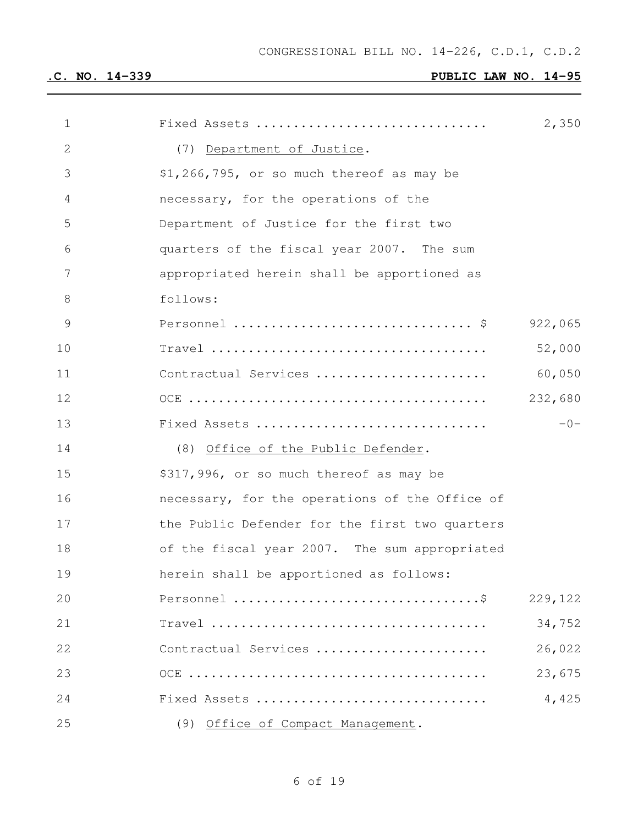| 1              | Fixed Assets                                   | 2,350   |
|----------------|------------------------------------------------|---------|
| $\mathbf{2}$   | (7) Department of Justice.                     |         |
| 3              | \$1,266,795, or so much thereof as may be      |         |
| $\overline{4}$ | necessary, for the operations of the           |         |
| 5              | Department of Justice for the first two        |         |
| 6              | quarters of the fiscal year 2007. The sum      |         |
| 7              | appropriated herein shall be apportioned as    |         |
| 8              | follows:                                       |         |
| 9              |                                                | 922,065 |
| 10             |                                                | 52,000  |
| 11             | Contractual Services                           | 60,050  |
| 12             |                                                | 232,680 |
| 13             | Fixed Assets                                   | $-0-$   |
| 14             | (8) Office of the Public Defender.             |         |
| 15             | \$317,996, or so much thereof as may be        |         |
| 16             | necessary, for the operations of the Office of |         |
| 17             | the Public Defender for the first two quarters |         |
| 18             | of the fiscal year 2007. The sum appropriated  |         |
| 19             | herein shall be apportioned as follows:        |         |
| 20             |                                                | 229,122 |
| 21             |                                                | 34,752  |
| 22             | Contractual Services                           | 26,022  |
| 23             |                                                | 23,675  |
| 24             | Fixed Assets                                   | 4,425   |
| 25             | (9) Office of Compact Management.              |         |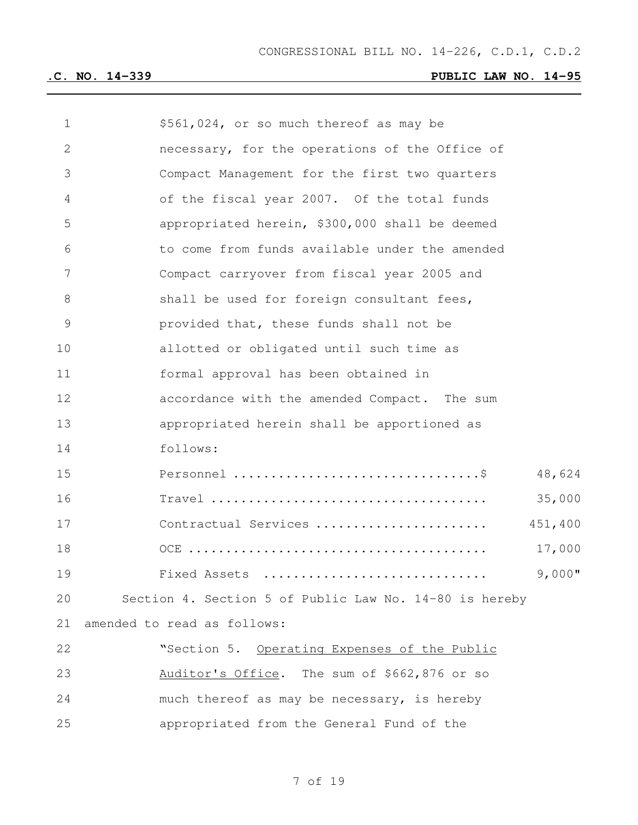| $\mathbf 1$     | \$561,024, or so much thereof as may be                |
|-----------------|--------------------------------------------------------|
| $\mathbf{2}$    | necessary, for the operations of the Office of         |
| 3               | Compact Management for the first two quarters          |
| 4               | of the fiscal year 2007. Of the total funds            |
| 5               | appropriated herein, \$300,000 shall be deemed         |
| 6               | to come from funds available under the amended         |
| $7\phantom{.0}$ | Compact carryover from fiscal year 2005 and            |
| 8               | shall be used for foreign consultant fees,             |
| 9               | provided that, these funds shall not be                |
| 10              | allotted or obligated until such time as               |
| 11              | formal approval has been obtained in                   |
| 12              | accordance with the amended Compact. The sum           |
| 13              | appropriated herein shall be apportioned as            |
| 14              | follows:                                               |
| 15              | 48,624                                                 |
| 16              | 35,000                                                 |
| 17              | Contractual Services<br>451,400                        |
| 18              | 17,000                                                 |
| 19              | $9,000$ "<br>Fixed Assets                              |
| 20              | Section 4. Section 5 of Public Law No. 14-80 is hereby |
| 21              | amended to read as follows:                            |
| 22              | "Section 5. Operating Expenses of the Public           |
| 23              | Auditor's Office. The sum of \$662,876 or so           |
| 24              | much thereof as may be necessary, is hereby            |
| 25              | appropriated from the General Fund of the              |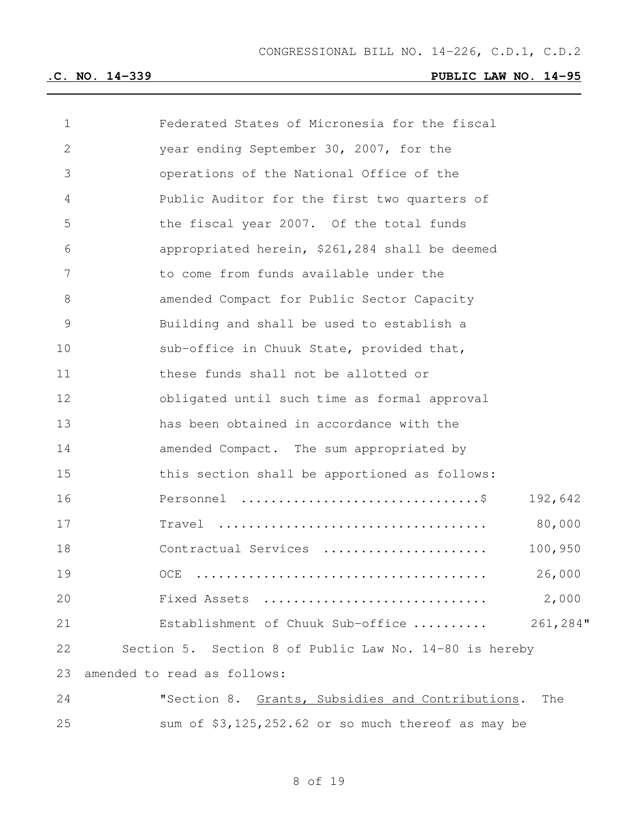| $\mathbf 1$  | Federated States of Micronesia for the fiscal           |
|--------------|---------------------------------------------------------|
| $\mathbf{2}$ | year ending September 30, 2007, for the                 |
| 3            | operations of the National Office of the                |
| 4            | Public Auditor for the first two quarters of            |
| 5            | the fiscal year 2007. Of the total funds                |
| 6            | appropriated herein, \$261,284 shall be deemed          |
| 7            | to come from funds available under the                  |
| 8            | amended Compact for Public Sector Capacity              |
| 9            | Building and shall be used to establish a               |
| 10           | sub-office in Chuuk State, provided that,               |
| 11           | these funds shall not be allotted or                    |
| 12           | obligated until such time as formal approval            |
| 13           | has been obtained in accordance with the                |
| 14           | amended Compact. The sum appropriated by                |
| 15           | this section shall be apportioned as follows:           |
| 16           | 192,642                                                 |
| 17           | 80,000                                                  |
| 18           | 100,950<br>Contractual Services                         |
| 19           | 26,000<br>OCE                                           |
| 20           | 2,000<br>Fixed Assets                                   |
| 21           | Establishment of Chuuk Sub-office  261,284"             |
| 22           | Section 5. Section 8 of Public Law No. 14-80 is hereby  |
| 23           | amended to read as follows:                             |
| 24           | "Section 8. Grants, Subsidies and Contributions.<br>The |
| 25           | sum of \$3,125,252.62 or so much thereof as may be      |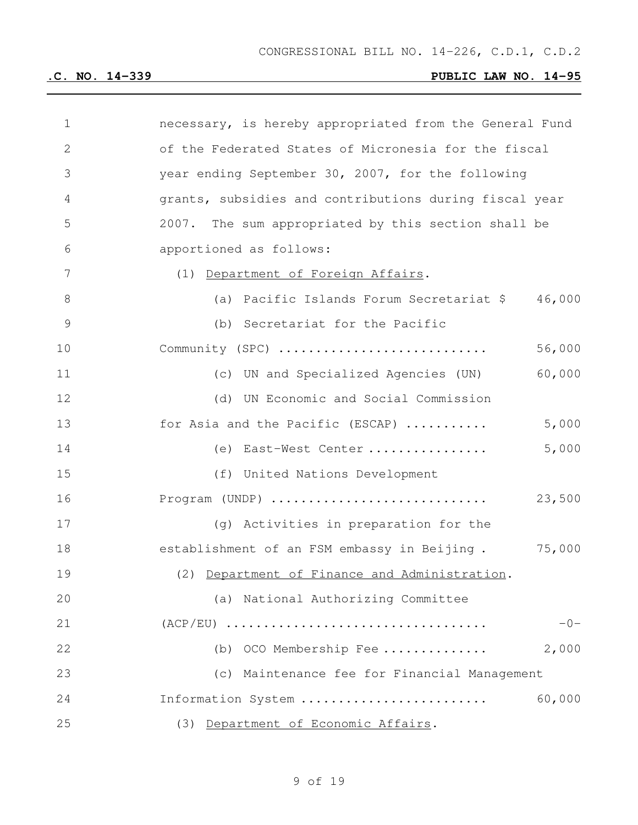| 1            | necessary, is hereby appropriated from the General Fund |
|--------------|---------------------------------------------------------|
| $\mathbf{2}$ | of the Federated States of Micronesia for the fiscal    |
| 3            | year ending September 30, 2007, for the following       |
| 4            | grants, subsidies and contributions during fiscal year  |
| 5            | 2007. The sum appropriated by this section shall be     |
| 6            | apportioned as follows:                                 |
| 7            | (1) Department of Foreign Affairs.                      |
| $8\,$        | 46,000<br>(a) Pacific Islands Forum Secretariat \$      |
| 9            | (b) Secretariat for the Pacific                         |
| 10           | Community (SPC)<br>56,000                               |
| 11           | 60,000<br>(c) UN and Specialized Agencies (UN)          |
| 12           | (d) UN Economic and Social Commission                   |
| 13           | 5,000<br>for Asia and the Pacific (ESCAP)               |
| 14           | (e) East-West Center<br>5,000                           |
| 15           | (f) United Nations Development                          |
| 16           | Program (UNDP)<br>23,500                                |
| 17           | (g) Activities in preparation for the                   |
| 18           | 75,000<br>establishment of an FSM embassy in Beijing.   |
| 19           | (2) Department of Finance and Administration.           |
| 20           | (a) National Authorizing Committee                      |
| 21           | $-0-$                                                   |
| 22           | 2,000<br>OCO Membership Fee<br>(b)                      |
| 23           | (c) Maintenance fee for Financial Management            |
| 24           | 60,000<br>Information System                            |
| 25           | (3) Department of Economic Affairs.                     |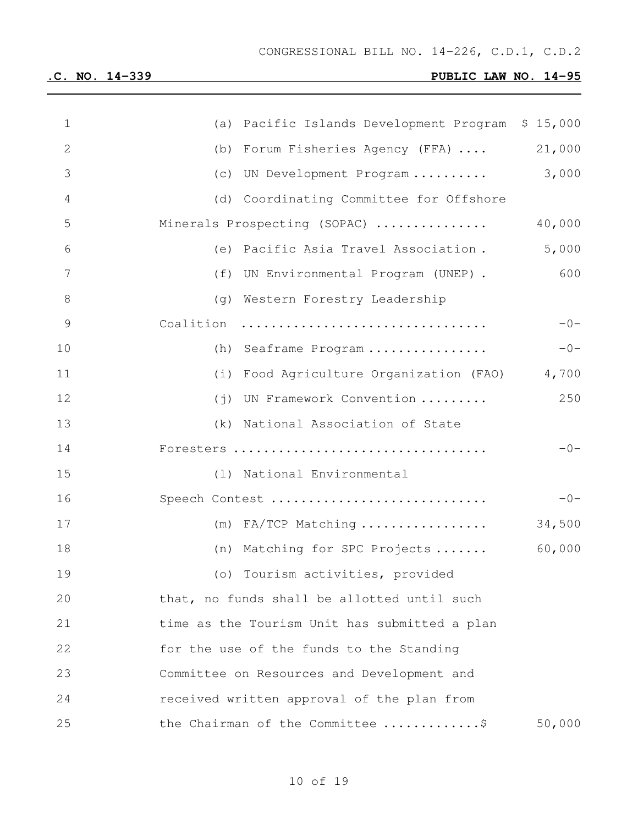| $\mathbf 1$    | (a) Pacific Islands Development Program \$ 15,000 |        |
|----------------|---------------------------------------------------|--------|
| $\mathbf{2}$   | (b) Forum Fisheries Agency (FFA)                  | 21,000 |
| 3              | (c) UN Development Program                        | 3,000  |
| $\overline{4}$ | (d) Coordinating Committee for Offshore           |        |
| 5              | Minerals Prospecting (SOPAC)                      | 40,000 |
| 6              | (e) Pacific Asia Travel Association.              | 5,000  |
| $7\phantom{.}$ | (f) UN Environmental Program (UNEP).              | 600    |
| $\,8\,$        | (g) Western Forestry Leadership                   |        |
| $\mathcal{G}$  | Coalition                                         | $-0-$  |
| 10             | (h) Seaframe Program                              | $-0-$  |
| 11             | (i) Food Agriculture Organization (FAO) 4,700     |        |
| 12             | (j) UN Framework Convention                       | 250    |
| 13             | (k) National Association of State                 |        |
| 14             | Foresters                                         | $-0-$  |
| 15             | (1) National Environmental                        |        |
| 16             | Speech Contest                                    | $-0-$  |
| 17             | $(m)$ FA/TCP Matching                             | 34,500 |
| 18             | (n) Matching for SPC Projects                     | 60,000 |
| 19             | (o) Tourism activities, provided                  |        |
| 20             | that, no funds shall be allotted until such       |        |
| 21             | time as the Tourism Unit has submitted a plan     |        |
| 22             | for the use of the funds to the Standing          |        |
| 23             | Committee on Resources and Development and        |        |
| 24             | received written approval of the plan from        |        |
| 25             | the Chairman of the Committee \$                  | 50,000 |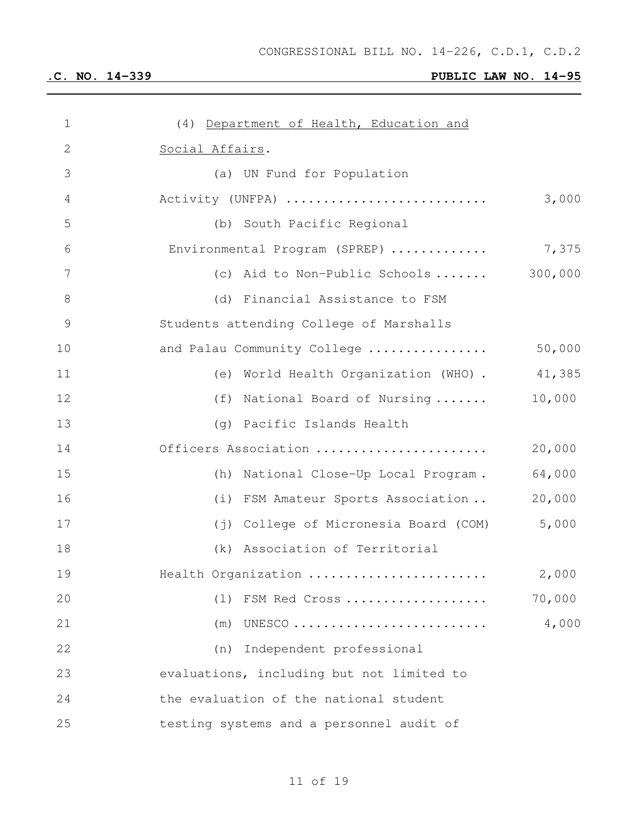| $\mathbf 1$     | (4) Department of Health, Education and      |         |
|-----------------|----------------------------------------------|---------|
| $\mathbf{2}$    | Social Affairs.                              |         |
| 3               | (a) UN Fund for Population                   |         |
| $\overline{4}$  | Activity (UNFPA)                             | 3,000   |
| 5               | (b) South Pacific Regional                   |         |
| 6               | Environmental Program (SPREP)                | 7,375   |
| $7\phantom{.0}$ | (c) Aid to Non-Public Schools                | 300,000 |
| $8\,$           | (d) Financial Assistance to FSM              |         |
| $\mathcal{G}$   | Students attending College of Marshalls      |         |
| 10              | and Palau Community College                  | 50,000  |
| 11              | (e) World Health Organization (WHO) . 41,385 |         |
| 12              | (f) National Board of Nursing                | 10,000  |
| 13              | (g) Pacific Islands Health                   |         |
| 14              | Officers Association                         | 20,000  |
| 15              | (h) National Close-Up Local Program.         | 64,000  |
| 16              | (i) FSM Amateur Sports Association           | 20,000  |
| 17              | (j) College of Micronesia Board (COM)        | 5,000   |
| 18              | (k) Association of Territorial               |         |
| 19              | Health Organization                          | 2,000   |
| 20              | (1)<br>FSM Red Cross                         | 70,000  |
| 21              | (m)<br>UNESCO                                | 4,000   |
| 22              | Independent professional<br>(n)              |         |
| 23              | evaluations, including but not limited to    |         |
| 24              | the evaluation of the national student       |         |
| 25              | testing systems and a personnel audit of     |         |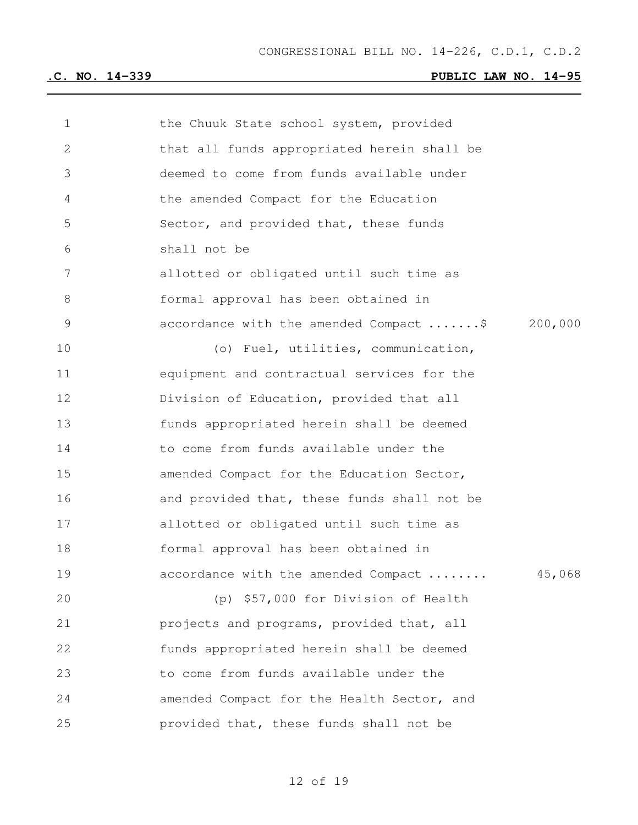| 1  | the Chuuk State school system, provided           |
|----|---------------------------------------------------|
| 2  | that all funds appropriated herein shall be       |
| 3  | deemed to come from funds available under         |
| 4  | the amended Compact for the Education             |
| 5  | Sector, and provided that, these funds            |
| 6  | shall not be                                      |
| 7  | allotted or obligated until such time as          |
| 8  | formal approval has been obtained in              |
| 9  | accordance with the amended Compact \$<br>200,000 |
| 10 | (o) Fuel, utilities, communication,               |
| 11 | equipment and contractual services for the        |
| 12 | Division of Education, provided that all          |
| 13 | funds appropriated herein shall be deemed         |
| 14 | to come from funds available under the            |
| 15 | amended Compact for the Education Sector,         |
| 16 | and provided that, these funds shall not be       |
| 17 | allotted or obligated until such time as          |
| 18 | formal approval has been obtained in              |
| 19 | accordance with the amended Compact<br>45,068     |
| 20 | (p) \$57,000 for Division of Health               |
| 21 | projects and programs, provided that, all         |
| 22 | funds appropriated herein shall be deemed         |
| 23 | to come from funds available under the            |
| 24 | amended Compact for the Health Sector, and        |
| 25 | provided that, these funds shall not be           |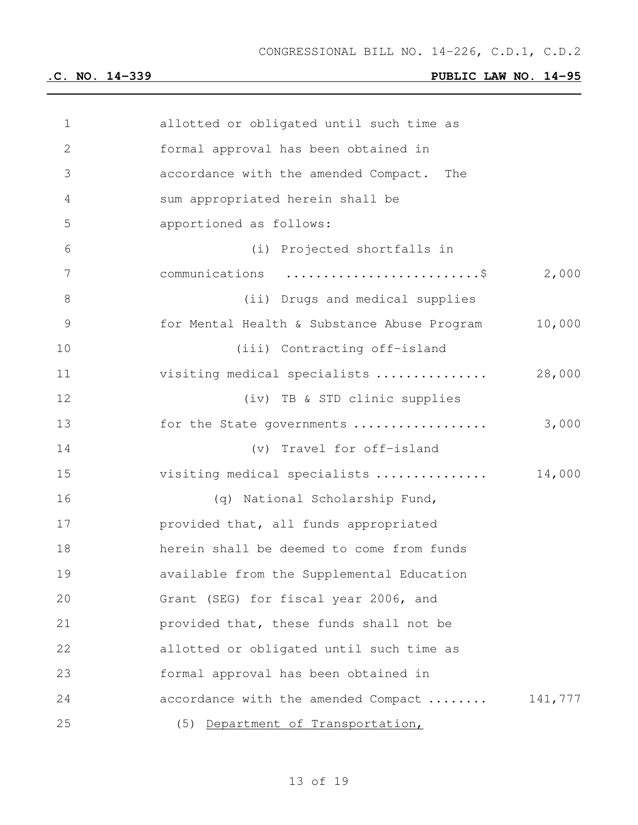| $\mathbf 1$   | allotted or obligated until such time as    |         |
|---------------|---------------------------------------------|---------|
| 2             | formal approval has been obtained in        |         |
| 3             | accordance with the amended Compact. The    |         |
| 4             | sum appropriated herein shall be            |         |
| 5             | apportioned as follows:                     |         |
| 6             | (i) Projected shortfalls in                 |         |
| 7             | communications \$                           | 2,000   |
| $8\,$         | (ii) Drugs and medical supplies             |         |
| $\mathcal{G}$ | for Mental Health & Substance Abuse Program | 10,000  |
| 10            | (iii) Contracting off-island                |         |
| 11            | visiting medical specialists                | 28,000  |
| 12            | (iv) TB & STD clinic supplies               |         |
| 13            | for the State governments                   | 3,000   |
| 14            | (v) Travel for off-island                   |         |
| 15            | visiting medical specialists                | 14,000  |
| 16            | (q) National Scholarship Fund,              |         |
| 17            | provided that, all funds appropriated       |         |
| 18            | herein shall be deemed to come from funds   |         |
| 19            | available from the Supplemental Education   |         |
| 20            | Grant (SEG) for fiscal year 2006, and       |         |
| 21            | provided that, these funds shall not be     |         |
| 22            | allotted or obligated until such time as    |         |
| 23            | formal approval has been obtained in        |         |
| 24            | accordance with the amended Compact         | 141,777 |
| 25            | (5) Department of Transportation,           |         |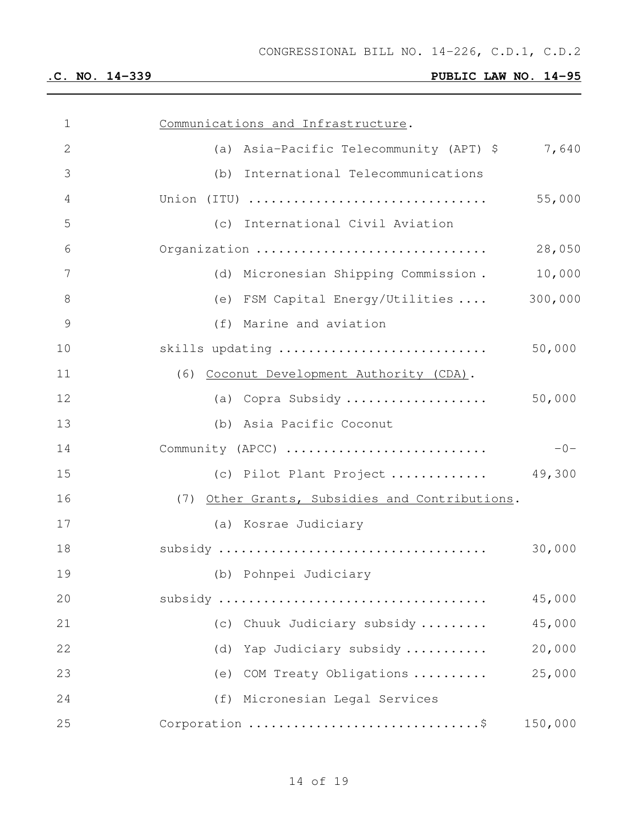| $\mathbf 1$     | Communications and Infrastructure.             |         |
|-----------------|------------------------------------------------|---------|
| $\mathbf{2}$    | (a) Asia-Pacific Telecommunity (APT) \$        | 7,640   |
| 3               | (b) International Telecommunications           |         |
| $\overline{4}$  | Union (ITU)                                    | 55,000  |
| 5               | (c) International Civil Aviation               |         |
| 6               | Organization                                   | 28,050  |
| $7\phantom{.0}$ | (d) Micronesian Shipping Commission.           | 10,000  |
| 8               | (e) FSM Capital Energy/Utilities  300,000      |         |
| $\mathcal{G}$   | (f) Marine and aviation                        |         |
| 10              | skills updating                                | 50,000  |
| 11              | (6) Coconut Development Authority (CDA).       |         |
| 12              | (a) Copra Subsidy                              | 50,000  |
| 13              | (b) Asia Pacific Coconut                       |         |
| 14              | Community (APCC)                               | $-0-$   |
| 15              | (c) Pilot Plant Project $49,300$               |         |
| 16              | (7) Other Grants, Subsidies and Contributions. |         |
| 17              | (a) Kosrae Judiciary                           |         |
| 18              |                                                | 30,000  |
| 19              | (b) Pohnpei Judiciary                          |         |
| 20              |                                                | 45,000  |
| 21              | Chuuk Judiciary subsidy<br>(C)                 | 45,000  |
| 22              | Yap Judiciary subsidy<br>(d)                   | 20,000  |
| 23              | COM Treaty Obligations<br>(e)                  | 25,000  |
| 24              | (f) Micronesian Legal Services                 |         |
| 25              |                                                | 150,000 |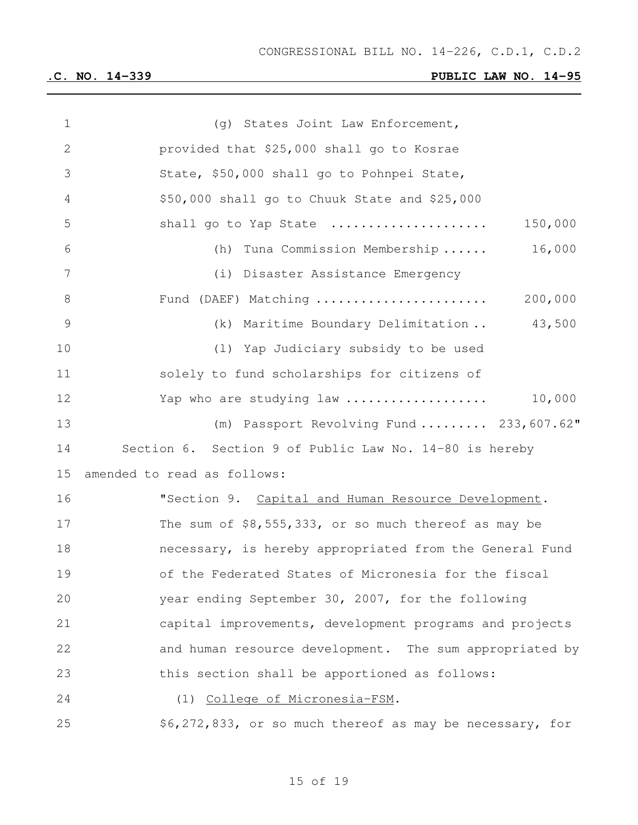| 1  | (g) States Joint Law Enforcement,                        |
|----|----------------------------------------------------------|
| 2  | provided that \$25,000 shall go to Kosrae                |
| 3  | State, \$50,000 shall go to Pohnpei State,               |
| 4  | \$50,000 shall go to Chuuk State and \$25,000            |
| 5  | 150,000<br>shall go to Yap State                         |
| 6  | 16,000<br>(h) Tuna Commission Membership                 |
| 7  | (i) Disaster Assistance Emergency                        |
| 8  | 200,000<br>Fund (DAEF) Matching                          |
| 9  | 43,500<br>(k) Maritime Boundary Delimitation             |
| 10 | (1) Yap Judiciary subsidy to be used                     |
| 11 | solely to fund scholarships for citizens of              |
| 12 | 10,000<br>Yap who are studying law                       |
| 13 | (m) Passport Revolving Fund  233,607.62"                 |
| 14 | Section 6. Section 9 of Public Law No. 14-80 is hereby   |
| 15 | amended to read as follows:                              |
| 16 | "Section 9. Capital and Human Resource Development.      |
| 17 | The sum of \$8,555,333, or so much thereof as may be     |
| 18 | necessary, is hereby appropriated from the General Fund  |
| 19 | of the Federated States of Micronesia for the fiscal     |
| 20 | year ending September 30, 2007, for the following        |
| 21 | capital improvements, development programs and projects  |
| 22 | and human resource development. The sum appropriated by  |
| 23 | this section shall be apportioned as follows:            |
| 24 | (1) College of Micronesia-FSM.                           |
| 25 | \$6,272,833, or so much thereof as may be necessary, for |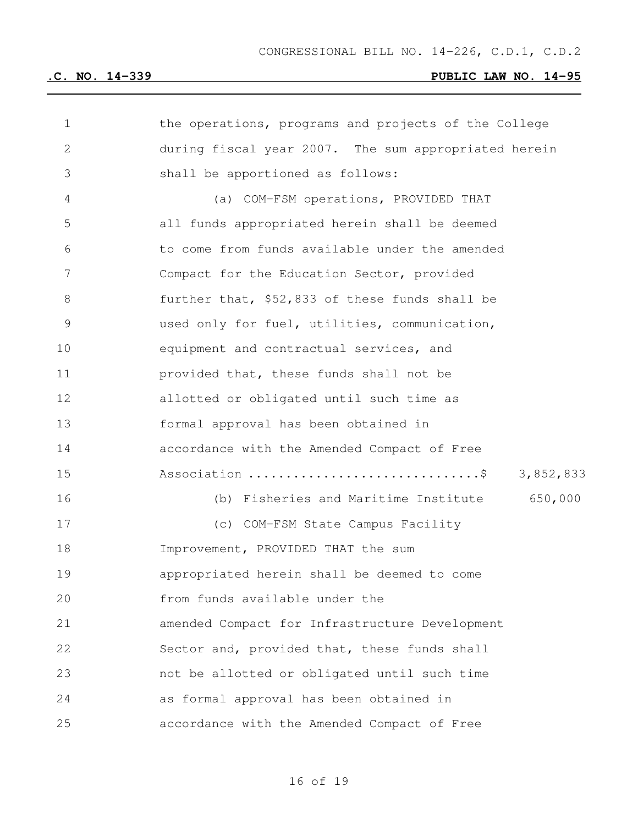| 1           | the operations, programs and projects of the College |
|-------------|------------------------------------------------------|
| 2           | during fiscal year 2007. The sum appropriated herein |
| 3           | shall be apportioned as follows:                     |
| 4           | (a) COM-FSM operations, PROVIDED THAT                |
| 5           | all funds appropriated herein shall be deemed        |
| 6           | to come from funds available under the amended       |
| 7           | Compact for the Education Sector, provided           |
| $8\,$       | further that, \$52,833 of these funds shall be       |
| $\mathsf 9$ | used only for fuel, utilities, communication,        |
| 10          | equipment and contractual services, and              |
| 11          | provided that, these funds shall not be              |
| 12          | allotted or obligated until such time as             |
| 13          | formal approval has been obtained in                 |
| 14          | accordance with the Amended Compact of Free          |
| 15          | Association \$<br>3,852,833                          |
| 16          | 650,000<br>(b) Fisheries and Maritime Institute      |
| 17          | (c) COM-FSM State Campus Facility                    |
| 18          | Improvement, PROVIDED THAT the sum                   |
| 19          | appropriated herein shall be deemed to come          |
| 20          | from funds available under the                       |
| 21          | amended Compact for Infrastructure Development       |
| 22          | Sector and, provided that, these funds shall         |
| 23          | not be allotted or obligated until such time         |
| 24          | as formal approval has been obtained in              |
| 25          | accordance with the Amended Compact of Free          |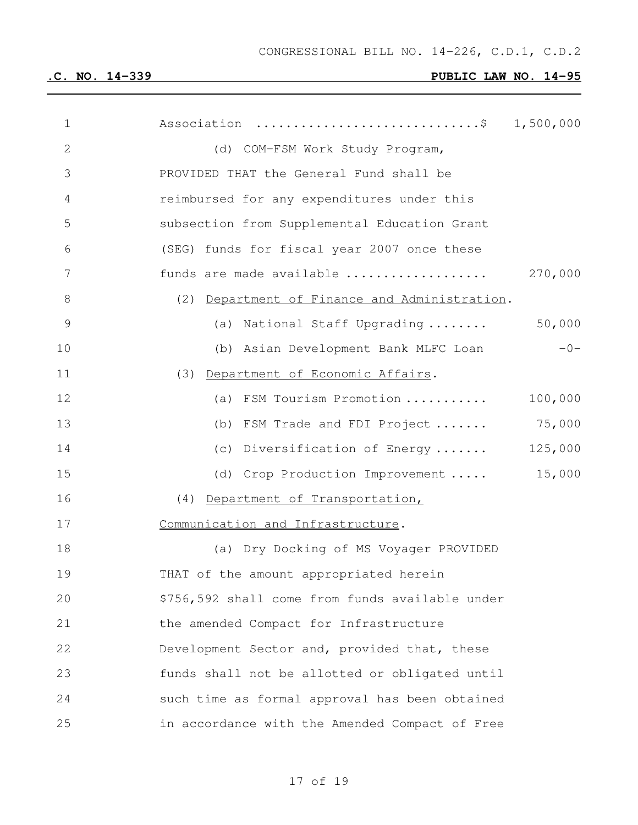| $\mathbf 1$    | Association \$ 1,500,000                        |
|----------------|-------------------------------------------------|
| $\mathbf{2}$   | (d) COM-FSM Work Study Program,                 |
| 3              | PROVIDED THAT the General Fund shall be         |
| $\overline{4}$ | reimbursed for any expenditures under this      |
| 5              | subsection from Supplemental Education Grant    |
| 6              | (SEG) funds for fiscal year 2007 once these     |
| 7              | 270,000<br>funds are made available             |
| $8\,$          | (2) Department of Finance and Administration.   |
| $\mathcal{G}$  | 50,000<br>(a) National Staff Upgrading          |
| 10             | $-0-$<br>(b) Asian Development Bank MLFC Loan   |
| 11             | (3) Department of Economic Affairs.             |
| 12             | 100,000<br>(a) FSM Tourism Promotion            |
| 13             | 75,000<br>(b) FSM Trade and FDI Project         |
| 14             | 125,000<br>(c) Diversification of Energy        |
| 15             | 15,000<br>(d) Crop Production Improvement       |
| 16             | (4) Department of Transportation,               |
| 17             | Communication and Infrastructure.               |
| 18             | (a) Dry Docking of MS Voyager PROVIDED          |
| 19             | THAT of the amount appropriated herein          |
| 20             | \$756,592 shall come from funds available under |
| 21             | the amended Compact for Infrastructure          |
| 22             | Development Sector and, provided that, these    |
| 23             | funds shall not be allotted or obligated until  |
| 24             | such time as formal approval has been obtained  |
| 25             | in accordance with the Amended Compact of Free  |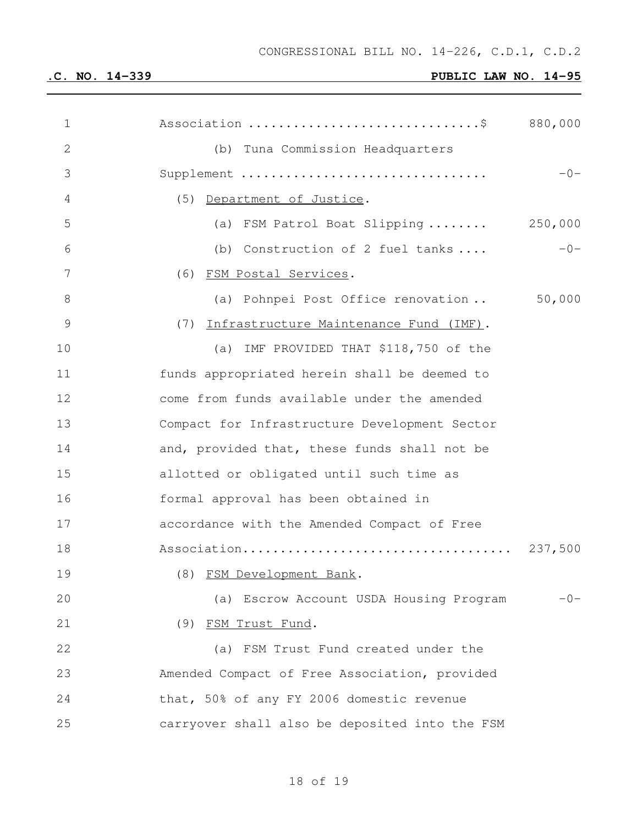| $\mathbf 1$   | Association \$ 880,000                         |         |
|---------------|------------------------------------------------|---------|
| $\mathbf{2}$  | (b) Tuna Commission Headquarters               |         |
| 3             | Supplement                                     | $-0-$   |
| 4             | (5) Department of Justice.                     |         |
| 5             | (a) FSM Patrol Boat Slipping                   | 250,000 |
| 6             | (b) Construction of 2 fuel tanks               | $-0-$   |
| 7             | (6) FSM Postal Services.                       |         |
| $8\,$         | (a) Pohnpei Post Office renovation             | 50,000  |
| $\mathcal{G}$ | (7) Infrastructure Maintenance Fund (IMF).     |         |
| 10            | (a) IMF PROVIDED THAT \$118,750 of the         |         |
| 11            | funds appropriated herein shall be deemed to   |         |
| 12            | come from funds available under the amended    |         |
| 13            | Compact for Infrastructure Development Sector  |         |
| 14            | and, provided that, these funds shall not be   |         |
| 15            | allotted or obligated until such time as       |         |
| 16            | formal approval has been obtained in           |         |
| 17            | accordance with the Amended Compact of Free    |         |
| 18            |                                                |         |
| 19            | (8) FSM Development Bank.                      |         |
| 20            | (a) Escrow Account USDA Housing Program        | $-0-$   |
| 21            | (9) FSM Trust Fund.                            |         |
| 22            | (a) FSM Trust Fund created under the           |         |
| 23            | Amended Compact of Free Association, provided  |         |
| 24            | that, 50% of any FY 2006 domestic revenue      |         |
| 25            | carryover shall also be deposited into the FSM |         |